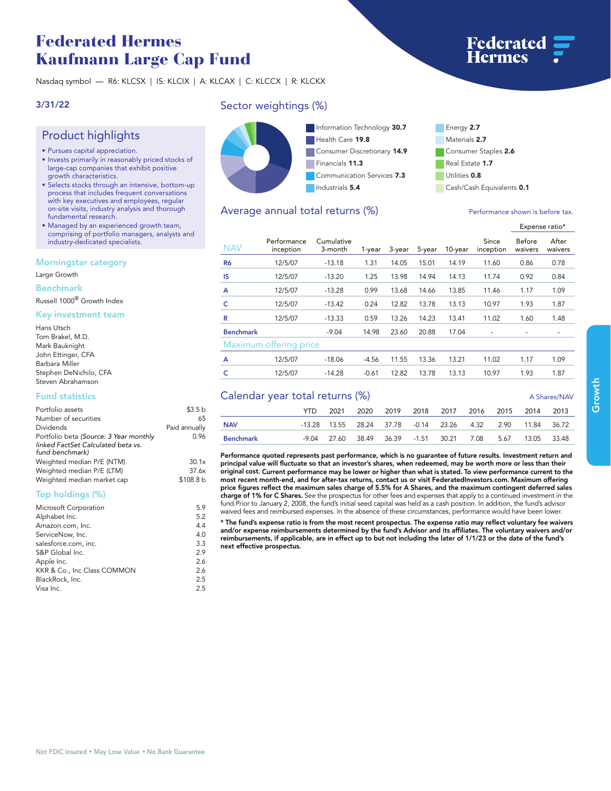# **Federated Hermes Kaufmann Large Cap Fund**

**Nasdaq symbol — R6: KLCSX | IS: KLCIX | A: KLCAX | C: KLCCX | R: KLCKX**

### **3/31/22**

## **Product highlights**

- **• Pursues capital appreciation.**
- **• Invests primarily in reasonably priced stocks of large-cap companies that exhibit positive growth characteristics.**
- **• Selects stocks through an intensive, bottom-up process that includes frequent conversations with key executives and employees, regular on-site visits, industry analysis and thorough fundamental research.**
- **• Managed by an experienced growth team, comprising of portfolio managers, analysts and industry-dedicated specialists.**

#### **Morningstar category**

**Large Growth**

**Benchmark**

**Russell 1000® Growth Index**

#### **Key investment team**

| Hans Utsch             |
|------------------------|
| Tom Brakel, M.D.       |
| Mark Bauknight         |
| John Ettinger, CFA     |
| Barbara Miller         |
| Stephen DeNichilo, CFA |
| Steven Abrahamson      |

#### **Fund statistics**

| Portfolio assets                       | \$3.5 <sub>b</sub> |
|----------------------------------------|--------------------|
| Number of securities                   | 65                 |
| Dividends                              | Paid annually      |
| Portfolio beta (Source: 3 Year monthly | 0.96               |
| linked FactSet Calculated beta vs.     |                    |
| fund benchmark)                        |                    |
| Weighted median P/E (NTM)              | 30.1x              |
| Weighted median P/E (LTM)              | 37.6x              |
| Weighted median market cap             | \$108.8 b          |
|                                        |                    |

### **Top holdings (%)**

| Microsoft Corporation       | 5.9 |
|-----------------------------|-----|
| Alphabet Inc.               | 5.2 |
| Amazon.com, Inc.            | 4.4 |
| ServiceNow, Inc.            | 4.0 |
| salesforce.com, inc.        | 3.3 |
| S&P Global Inc.             | 2.9 |
| Apple Inc.                  | 2.6 |
| KKR & Co., Inc Class COMMON | 2.6 |
| BlackRock, Inc.             | 2.5 |
| Visa Inc.                   | 2.5 |
|                             |     |

## **Sector weightings (%)**



## **Consumer Staples 2.6 Real Estate 1.7 Utilities 0.8 Cash/Cash Equivalents 0.1**

## Average annual total returns (%) *Performance shown is before tax.*

|                        |                          |                       |         |        |        |            |                          | Expense ratio*    |                  |
|------------------------|--------------------------|-----------------------|---------|--------|--------|------------|--------------------------|-------------------|------------------|
| <b>NAV</b>             | Performance<br>inception | Cumulative<br>3-month | 1-year  | 3-year | 5-year | $10$ -year | Since<br>inception       | Before<br>waivers | After<br>waivers |
| R <sub>6</sub>         | 12/5/07                  | $-13.18$              | 1.31    | 14.05  | 15.01  | 14.19      | 11.60                    | 0.86              | 0.78             |
| <b>IS</b>              | 12/5/07                  | $-13.20$              | 1.25    | 13.98  | 14.94  | 14.13      | 11.74                    | 0.92              | 0.84             |
| A                      | 12/5/07                  | $-13.28$              | 0.99    | 13.68  | 14.66  | 13.85      | 11.46                    | 1.17              | 1.09             |
| c                      | 12/5/07                  | $-13.42$              | 0.24    | 12.82  | 13.78  | 13.13      | 10.97                    | 1.93              | 1.87             |
| R                      | 12/5/07                  | $-13.33$              | 0.59    | 13.26  | 14.23  | 13.41      | 11.02                    | 1.60              | 1.48             |
| <b>Benchmark</b>       |                          | $-9.04$               | 14.98   | 23.60  | 20.88  | 17.04      | $\overline{\phantom{m}}$ |                   |                  |
| Maximum offering price |                          |                       |         |        |        |            |                          |                   |                  |
| A                      | 12/5/07                  | $-18.06$              | $-4.56$ | 11.55  | 13.36  | 13.21      | 11.02                    | 1.17              | 1.09             |
| c                      | 12/5/07                  | $-14.28$              | $-0.61$ | 12.82  | 13.78  | 13.13      | 10.97                    | 1.93              | 1.87             |

## **Calendar year total returns (%) A Shares/NAV**

| Calendar year total returns (%) |      |  |  |  |  |                                                                     |  | A Shares/INAV |  |
|---------------------------------|------|--|--|--|--|---------------------------------------------------------------------|--|---------------|--|
|                                 | YTD. |  |  |  |  | 2021 2020 2019 2018 2017 2016 2015 2014 2013                        |  |               |  |
| <b>NAV</b>                      |      |  |  |  |  | -13.28  13.55  28.24  37.78  -0.14  23.26  4.32  2.90  11.84  36.72 |  |               |  |
| Benchmark                       |      |  |  |  |  | -9.04 27.60 38.49 36.39 -1.51 30.21 7.08 5.67                       |  | 13.05 33.48   |  |
|                                 |      |  |  |  |  |                                                                     |  |               |  |

**Performance quoted represents past performance, which is no guarantee of future results. Investment return and principal value will fluctuate so that an investor's shares, when redeemed, may be worth more or less than their original cost. Current performance may be lower or higher than what is stated. To view performance current to the most recent month-end, and for after-tax returns, contact us or visit [FederatedInvestors.com.](www.federatedinvestors.com) Maximum offering price figures reflect the maximum sales charge of 5.5% for A Shares, and the maximum contingent deferred sales charge of 1% for C Shares. See the prospectus for other fees and expenses that apply to a continued investment in the fund.Prior to January 2, 2008, the fund's initial seed capital was held as a cash position. In addition, the fund's advisor**  waived fees and reimbursed expenses. In the absence of these circumstances, performance would have been lower.

**\* The fund's expense ratio is from the most recent prospectus. The expense ratio may reflect voluntary fee waivers**  and/or expense reimbursements determined by the fund's Advisor and its affiliates. The voluntary waivers and/or<br>reimbursements, if applicable, are in effect up to but not including the later of 1/1/23 or the date of the fu **next effective prospectus.**